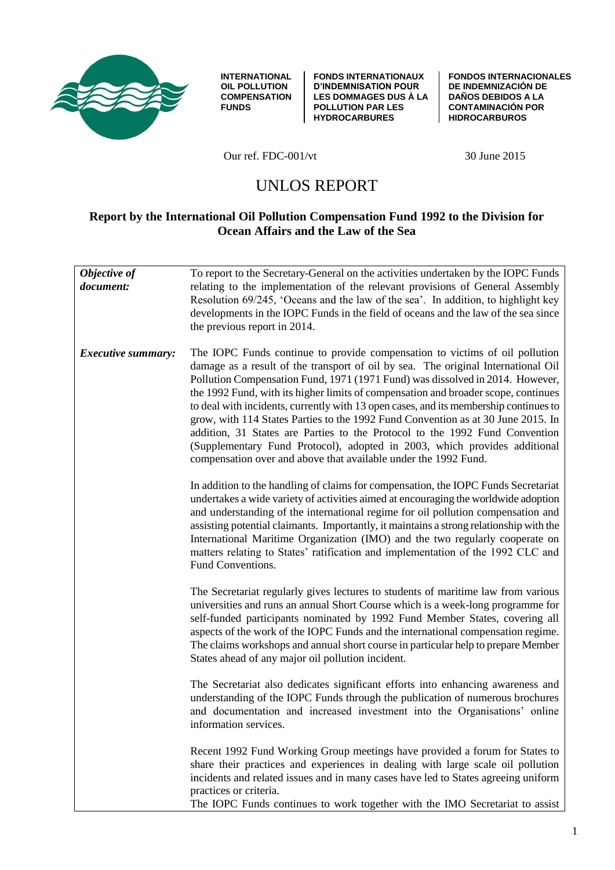

**INTERNATIONAL OIL POLLUTION COMPENSATION FUNDS** 

**FONDS INTERNATIONAUX D'INDEMNISATION POUR LES DOMMAGES DUS À LA POLLUTION PAR LES HYDROCARBURES**

**FONDOS INTERNACIONALES DE INDEMNIZACIÓN DE DAÑOS DEBIDOS A LA CONTAMINACIÓN POR HIDROCARBUROS** 

Our ref. FDC-001/vt 30 June 2015

# UNLOS REPORT

# **Report by the International Oil Pollution Compensation Fund 1992 to the Division for Ocean Affairs and the Law of the Sea**

| Objective of<br>document: | To report to the Secretary-General on the activities undertaken by the IOPC Funds<br>relating to the implementation of the relevant provisions of General Assembly<br>Resolution 69/245, 'Oceans and the law of the sea'. In addition, to highlight key<br>developments in the IOPC Funds in the field of oceans and the law of the sea since<br>the previous report in 2014.                                                                                                                                                                                                                                                                                                                                                                       |
|---------------------------|-----------------------------------------------------------------------------------------------------------------------------------------------------------------------------------------------------------------------------------------------------------------------------------------------------------------------------------------------------------------------------------------------------------------------------------------------------------------------------------------------------------------------------------------------------------------------------------------------------------------------------------------------------------------------------------------------------------------------------------------------------|
| <i>Executive summary:</i> | The IOPC Funds continue to provide compensation to victims of oil pollution<br>damage as a result of the transport of oil by sea. The original International Oil<br>Pollution Compensation Fund, 1971 (1971 Fund) was dissolved in 2014. However,<br>the 1992 Fund, with its higher limits of compensation and broader scope, continues<br>to deal with incidents, currently with 13 open cases, and its membership continues to<br>grow, with 114 States Parties to the 1992 Fund Convention as at 30 June 2015. In<br>addition, 31 States are Parties to the Protocol to the 1992 Fund Convention<br>(Supplementary Fund Protocol), adopted in 2003, which provides additional<br>compensation over and above that available under the 1992 Fund. |
|                           | In addition to the handling of claims for compensation, the IOPC Funds Secretariat<br>undertakes a wide variety of activities aimed at encouraging the worldwide adoption<br>and understanding of the international regime for oil pollution compensation and<br>assisting potential claimants. Importantly, it maintains a strong relationship with the<br>International Maritime Organization (IMO) and the two regularly cooperate on<br>matters relating to States' ratification and implementation of the 1992 CLC and<br>Fund Conventions.                                                                                                                                                                                                    |
|                           | The Secretariat regularly gives lectures to students of maritime law from various<br>universities and runs an annual Short Course which is a week-long programme for<br>self-funded participants nominated by 1992 Fund Member States, covering all<br>aspects of the work of the IOPC Funds and the international compensation regime.<br>The claims workshops and annual short course in particular help to prepare Member<br>States ahead of any major oil pollution incident.                                                                                                                                                                                                                                                                   |
|                           | The Secretariat also dedicates significant efforts into enhancing awareness and<br>understanding of the IOPC Funds through the publication of numerous brochures<br>and documentation and increased investment into the Organisations' online<br>information services.                                                                                                                                                                                                                                                                                                                                                                                                                                                                              |
|                           | Recent 1992 Fund Working Group meetings have provided a forum for States to<br>share their practices and experiences in dealing with large scale oil pollution<br>incidents and related issues and in many cases have led to States agreeing uniform<br>practices or criteria.<br>The IOPC Funds continues to work together with the IMO Secretariat to assist                                                                                                                                                                                                                                                                                                                                                                                      |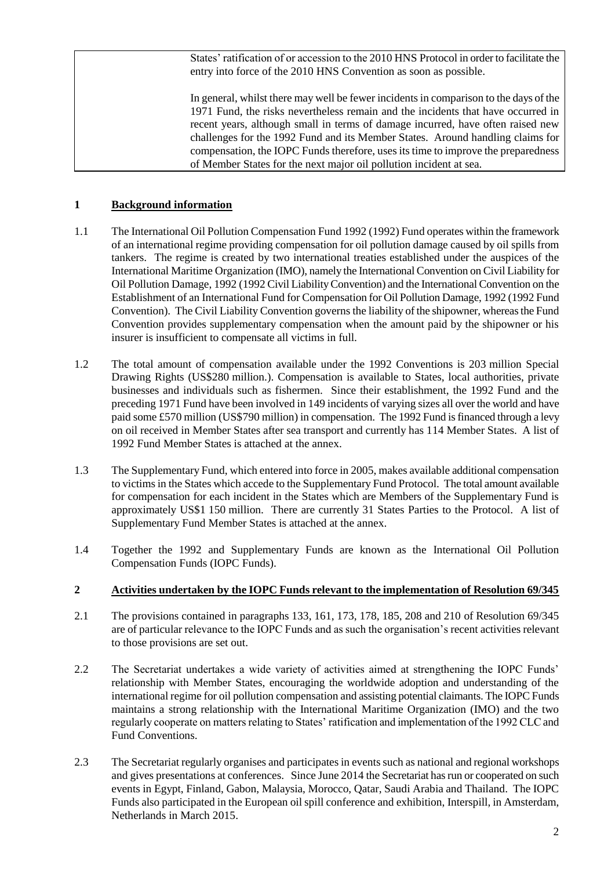States' ratification of or accession to the 2010 HNS Protocol in order to facilitate the entry into force of the 2010 HNS Convention as soon as possible.

In general, whilst there may well be fewer incidents in comparison to the days of the 1971 Fund, the risks nevertheless remain and the incidents that have occurred in recent years, although small in terms of damage incurred, have often raised new challenges for the 1992 Fund and its Member States. Around handling claims for compensation, the IOPC Funds therefore, uses its time to improve the preparedness of Member States for the next major oil pollution incident at sea.

## **1 Background information**

- 1.1 The International Oil Pollution Compensation Fund 1992 (1992) Fund operates within the framework of an international regime providing compensation for oil pollution damage caused by oil spills from tankers. The regime is created by two international treaties established under the auspices of the International Maritime Organization (IMO), namely the International Convention on Civil Liability for Oil Pollution Damage, 1992 (1992 Civil Liability Convention) and the International Convention on the Establishment of an International Fund for Compensation for Oil Pollution Damage, 1992 (1992 Fund Convention). The Civil Liability Convention governs the liability of the shipowner, whereas the Fund Convention provides supplementary compensation when the amount paid by the shipowner or his insurer is insufficient to compensate all victims in full.
- 1.2 The total amount of compensation available under the 1992 Conventions is 203 million Special Drawing Rights (US\$280 million.). Compensation is available to States, local authorities, private businesses and individuals such as fishermen. Since their establishment, the 1992 Fund and the preceding 1971 Fund have been involved in 149 incidents of varying sizes all over the world and have paid some £570 million (US\$790 million) in compensation. The 1992 Fund is financed through a levy on oil received in Member States after sea transport and currently has 114 Member States. A list of 1992 Fund Member States is attached at the annex.
- 1.3 The Supplementary Fund, which entered into force in 2005, makes available additional compensation to victims in the States which accede to the Supplementary Fund Protocol. The total amount available for compensation for each incident in the States which are Members of the Supplementary Fund is approximately US\$1 150 million. There are currently 31 States Parties to the Protocol. A list of Supplementary Fund Member States is attached at the annex.
- 1.4 Together the 1992 and Supplementary Funds are known as the International Oil Pollution Compensation Funds (IOPC Funds).

#### **2 Activities undertaken by the IOPC Funds relevant to the implementation of Resolution 69/345**

- 2.1 The provisions contained in paragraphs 133, 161, 173, 178, 185, 208 and 210 of Resolution 69/345 are of particular relevance to the IOPC Funds and as such the organisation's recent activities relevant to those provisions are set out.
- 2.2 The Secretariat undertakes a wide variety of activities aimed at strengthening the IOPC Funds' relationship with Member States, encouraging the worldwide adoption and understanding of the international regime for oil pollution compensation and assisting potential claimants. The IOPC Funds maintains a strong relationship with the International Maritime Organization (IMO) and the two regularly cooperate on matters relating to States' ratification and implementation of the 1992 CLC and Fund Conventions.
- 2.3 The Secretariat regularly organises and participates in events such as national and regional workshops and gives presentations at conferences. Since June 2014 the Secretariat has run or cooperated on such events in Egypt, Finland, Gabon, Malaysia, Morocco, Qatar, Saudi Arabia and Thailand. The IOPC Funds also participated in the European oil spill conference and exhibition, Interspill, in Amsterdam, Netherlands in March 2015.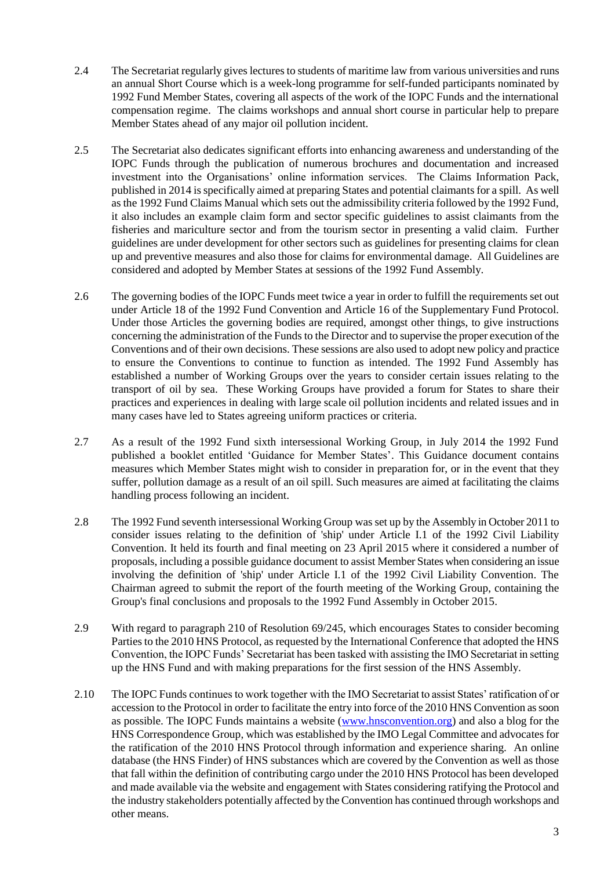- 2.4 The Secretariat regularly gives lectures to students of maritime law from various universities and runs an annual Short Course which is a week-long programme for self-funded participants nominated by 1992 Fund Member States, covering all aspects of the work of the IOPC Funds and the international compensation regime. The claims workshops and annual short course in particular help to prepare Member States ahead of any major oil pollution incident.
- 2.5 The Secretariat also dedicates significant efforts into enhancing awareness and understanding of the IOPC Funds through the publication of numerous brochures and documentation and increased investment into the Organisations' online information services. The Claims Information Pack, published in 2014 is specifically aimed at preparing States and potential claimants for a spill. As well as the 1992 Fund Claims Manual which sets out the admissibility criteria followed by the 1992 Fund, it also includes an example claim form and sector specific guidelines to assist claimants from the fisheries and mariculture sector and from the tourism sector in presenting a valid claim. Further guidelines are under development for other sectors such as guidelines for presenting claims for clean up and preventive measures and also those for claims for environmental damage. All Guidelines are considered and adopted by Member States at sessions of the 1992 Fund Assembly.
- 2.6 The governing bodies of the IOPC Funds meet twice a year in order to fulfill the requirements set out under Article 18 of the 1992 Fund Convention and Article 16 of the Supplementary Fund Protocol. Under those Articles the governing bodies are required, amongst other things, to give instructions concerning the administration of the Funds to the Director and to supervise the proper execution of the Conventions and of their own decisions. These sessions are also used to adopt new policy and practice to ensure the Conventions to continue to function as intended. The 1992 Fund Assembly has established a number of Working Groups over the years to consider certain issues relating to the transport of oil by sea. These Working Groups have provided a forum for States to share their practices and experiences in dealing with large scale oil pollution incidents and related issues and in many cases have led to States agreeing uniform practices or criteria.
- 2.7 As a result of the 1992 Fund sixth intersessional Working Group, in July 2014 the 1992 Fund published a booklet entitled 'Guidance for Member States'. This Guidance document contains measures which Member States might wish to consider in preparation for, or in the event that they suffer, pollution damage as a result of an oil spill. Such measures are aimed at facilitating the claims handling process following an incident.
- 2.8 The 1992 Fund seventh intersessional Working Group was set up by the Assembly in October 2011 to consider issues relating to the definition of 'ship' under Article I.1 of the 1992 Civil Liability Convention. It held its fourth and final meeting on 23 April 2015 where it considered a number of proposals, including a possible guidance document to assist Member States when considering an issue involving the definition of 'ship' under Article I.1 of the 1992 Civil Liability Convention. The Chairman agreed to submit the report of the fourth meeting of the Working Group, containing the Group's final conclusions and proposals to the 1992 Fund Assembly in October 2015.
- 2.9 With regard to paragraph 210 of Resolution 69/245, which encourages States to consider becoming Parties to the 2010 HNS Protocol, as requested by the International Conference that adopted the HNS Convention, the IOPC Funds' Secretariat has been tasked with assisting the IMO Secretariat in setting up the HNS Fund and with making preparations for the first session of the HNS Assembly.
- 2.10 The IOPC Funds continues to work together with the IMO Secretariat to assist States' ratification of or accession to the Protocol in order to facilitate the entry into force of the 2010 HNS Convention as soon as possible. The IOPC Funds maintains a website [\(www.hnsconvention.org\)](http://www.hnsconvention.org/) and also a blog for the HNS Correspondence Group, which was established by the IMO Legal Committee and advocates for the ratification of the 2010 HNS Protocol through information and experience sharing. An online database (the HNS Finder) of HNS substances which are covered by the Convention as well as those that fall within the definition of contributing cargo under the 2010 HNS Protocol has been developed and made available via the website and engagement with States considering ratifying the Protocol and the industry stakeholders potentially affected by the Convention has continued through workshops and other means.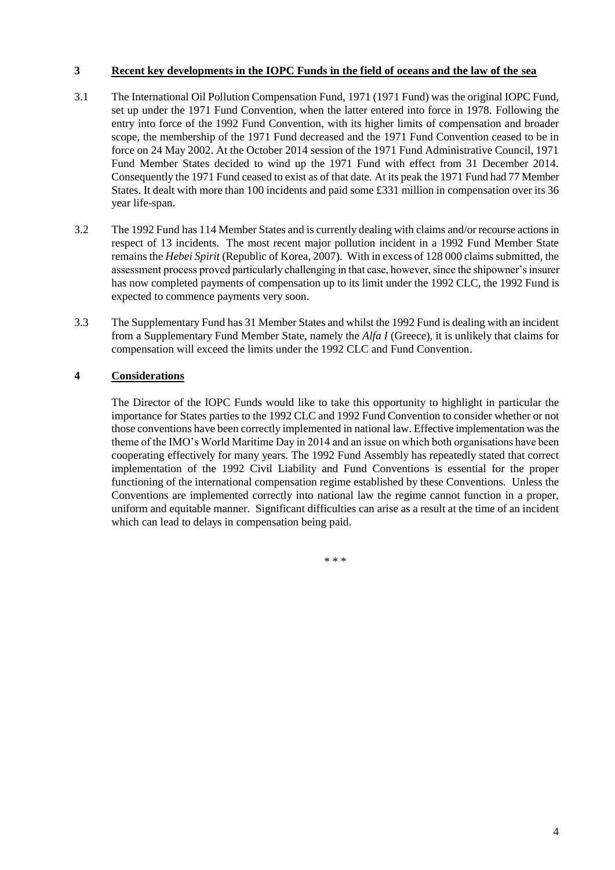## **3 Recent key developments in the IOPC Funds in the field of oceans and the law of the sea**

- 3.1 The International Oil Pollution Compensation Fund, 1971 (1971 Fund) was the original IOPC Fund, set up under the 1971 Fund Convention, when the latter entered into force in 1978. Following the entry into force of the 1992 Fund Convention, with its higher limits of compensation and broader scope, the membership of the 1971 Fund decreased and the 1971 Fund Convention ceased to be in force on 24 May 2002. At the October 2014 session of the 1971 Fund Administrative Council, 1971 Fund Member States decided to wind up the 1971 Fund with effect from 31 December 2014. Consequently the 1971 Fund ceased to exist as of that date. At its peak the 1971 Fund had 77 Member States. It dealt with more than 100 incidents and paid some £331 million in compensation over its 36 year life-span.
- 3.2 The 1992 Fund has 114 Member States and is currently dealing with claims and/or recourse actions in respect of 13 incidents. The most recent major pollution incident in a 1992 Fund Member State remains the *Hebei Spirit* (Republic of Korea, 2007). With in excess of 128 000 claims submitted, the assessment process proved particularly challenging in that case, however, since the shipowner's insurer has now completed payments of compensation up to its limit under the 1992 CLC, the 1992 Fund is expected to commence payments very soon.
- 3.3 The Supplementary Fund has 31 Member States and whilst the 1992 Fund is dealing with an incident from a Supplementary Fund Member State, namely the *Alfa I* (Greece), it is unlikely that claims for compensation will exceed the limits under the 1992 CLC and Fund Convention.

# **4 Considerations**

The Director of the IOPC Funds would like to take this opportunity to highlight in particular the importance for States parties to the 1992 CLC and 1992 Fund Convention to consider whether or not those conventions have been correctly implemented in national law. Effective implementation was the theme of the IMO's World Maritime Day in 2014 and an issue on which both organisations have been cooperating effectively for many years. The 1992 Fund Assembly has repeatedly stated that correct implementation of the 1992 Civil Liability and Fund Conventions is essential for the proper functioning of the international compensation regime established by these Conventions. Unless the Conventions are implemented correctly into national law the regime cannot function in a proper, uniform and equitable manner. Significant difficulties can arise as a result at the time of an incident which can lead to delays in compensation being paid.

\* \* \*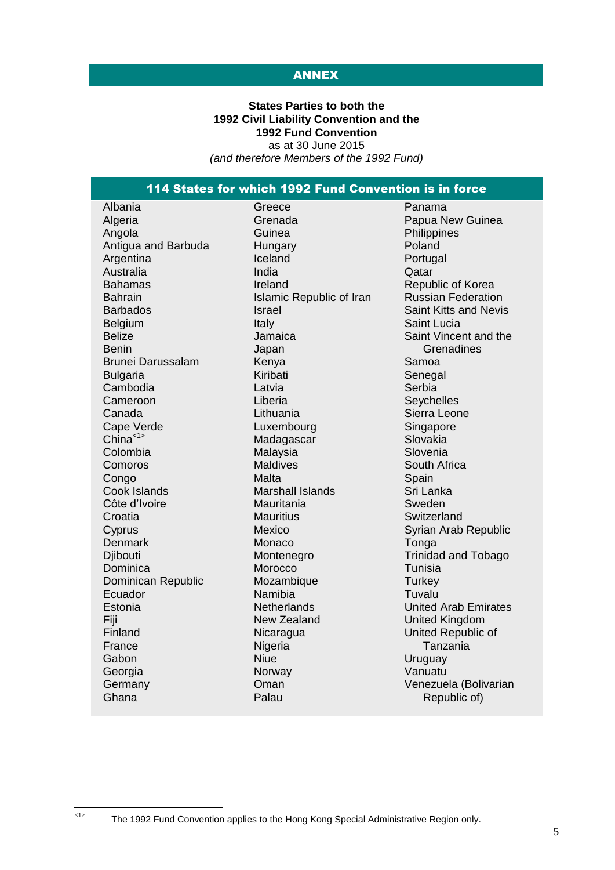# ANNEX

#### **States Parties to both the 1992 Civil Liability Convention and the 1992 Fund Convention** as at 30 June 2015

*(and therefore Members of the 1992 Fund)*

# 114 States for which 1992 Fund Convention is in force

| Albania                  | Greece            |
|--------------------------|-------------------|
| Algeria                  | Grenada           |
| Angola                   | Guinea            |
| Antigua and Barbuda      | Hungary           |
| Argentina                | Iceland           |
| Australia                | India             |
| <b>Bahamas</b>           | Ireland           |
| <b>Bahrain</b>           | <b>Islamic Re</b> |
| <b>Barbados</b>          | Israel            |
| Belgium                  | Italy             |
| <b>Belize</b>            | Jamaica           |
| Benin                    | Japan             |
| <b>Brunei Darussalam</b> | Kenya             |
| <b>Bulgaria</b>          | Kiribati          |
| Cambodia                 | Latvia            |
| Cameroon                 | Liberia           |
| Canada                   | Lithuania         |
| Cape Verde               | Luxembou          |
| China <sup>&lt;1</sup>   | Madagasc          |
| Colombia                 | Malaysia          |
| Comoros                  | <b>Maldives</b>   |
| Congo                    | Malta             |
| Cook Islands             | Marshall Is       |
| Côte d'Ivoire            | Mauritania        |
| Croatia                  | <b>Mauritius</b>  |
| Cyprus                   | Mexico            |
| Denmark                  | Monaco            |
| Djibouti                 | Monteneg          |
| Dominica                 | Morocco           |
| Dominican Republic       | Mozambiq          |
| Ecuador                  | Namibia           |
| Estonia                  | Netherland        |
| Fiji                     | <b>New Zeala</b>  |
| Finland                  | Nicaragua         |
| France                   | Nigeria           |
| Gabon                    | <b>Niue</b>       |
| Georgia                  | Norway            |
| Germany                  | Oman              |
| Ghana                    | Palau             |
|                          |                   |

 $\frac{1}{1}$ 

epublic of Iran urg car **Islands** Mauritania aro que  $ds$ land

Panama Papua New Guinea **Philippines** Poland Portugal Qatar Republic of Korea Russian Federation Saint Kitts and Nevis Saint Lucia Saint Vincent and the **Grenadines** Samoa Senegal Serbia **Seychelles** Sierra Leone Singapore Slovakia Slovenia South Africa Spain Sri Lanka Sweden **Switzerland** Syrian Arab Republic Tonga Trinidad and Tobago Tunisia **Turkey Tuvalu** United Arab Emirates United Kingdom United Republic of Tanzania Uruguay Vanuatu Venezuela (Bolivarian Republic of)

The 1992 Fund Convention applies to the Hong Kong Special Administrative Region only.